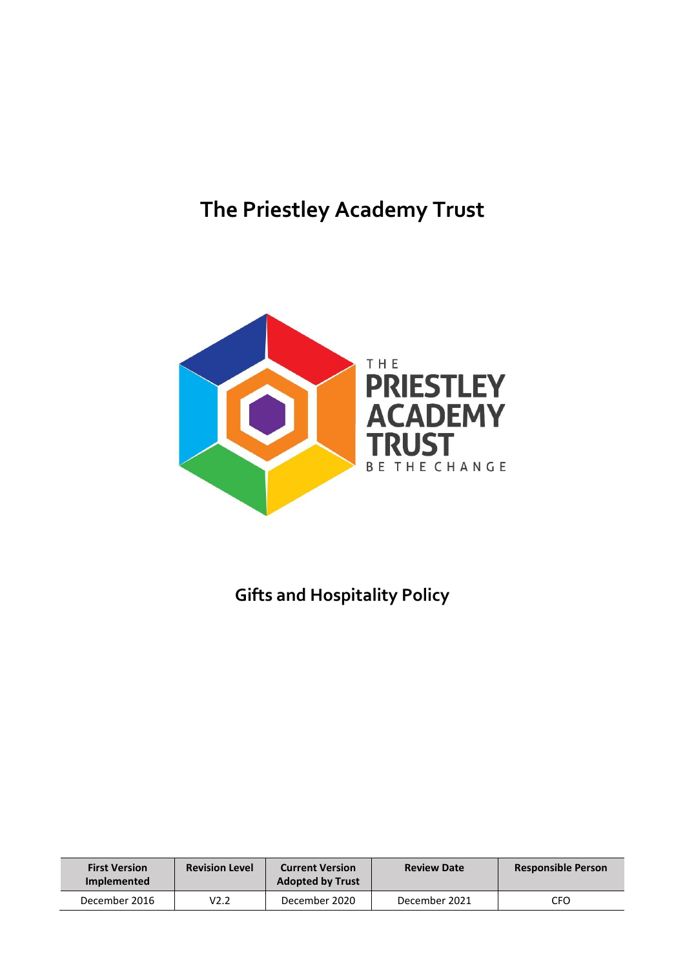# **The Priestley Academy Trust**



# **Gifts and Hospitality Policy**

| <b>First Version</b><br><b>Implemented</b> | <b>Revision Level</b> | <b>Current Version</b><br><b>Adopted by Trust</b> | <b>Review Date</b> | <b>Responsible Person</b> |
|--------------------------------------------|-----------------------|---------------------------------------------------|--------------------|---------------------------|
| December 2016                              | V2.2                  | December 2020                                     | December 2021      | CFO                       |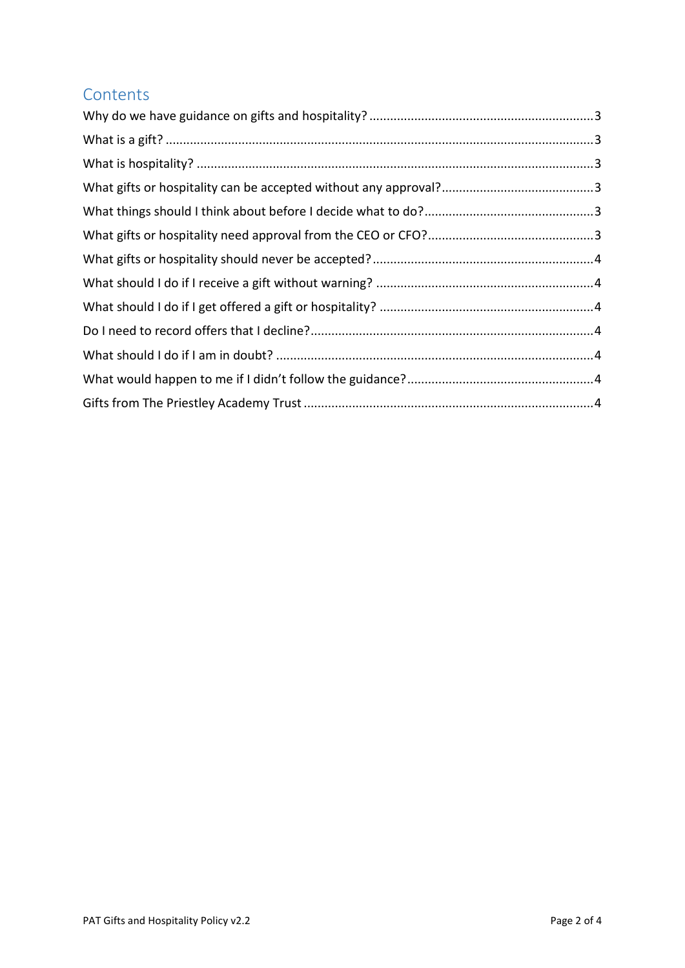#### **Contents**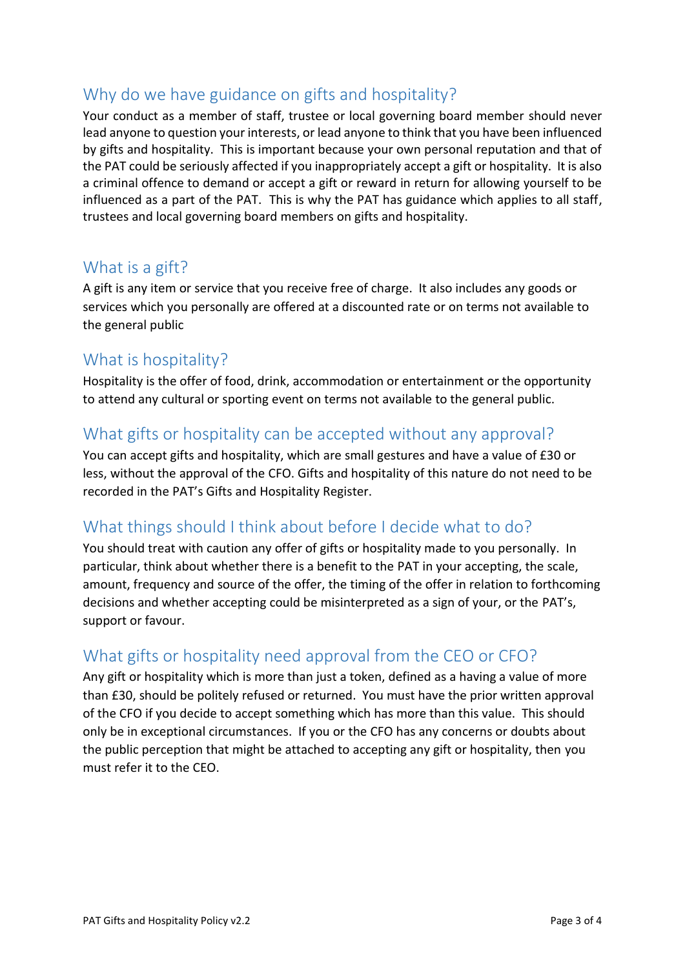## <span id="page-2-0"></span>Why do we have guidance on gifts and hospitality?

Your conduct as a member of staff, trustee or local governing board member should never lead anyone to question your interests, or lead anyone to think that you have been influenced by gifts and hospitality. This is important because your own personal reputation and that of the PAT could be seriously affected if you inappropriately accept a gift or hospitality. It is also a criminal offence to demand or accept a gift or reward in return for allowing yourself to be influenced as a part of the PAT. This is why the PAT has guidance which applies to all staff, trustees and local governing board members on gifts and hospitality.

#### <span id="page-2-1"></span>What is a gift?

A gift is any item or service that you receive free of charge. It also includes any goods or services which you personally are offered at a discounted rate or on terms not available to the general public

#### <span id="page-2-2"></span>What is hospitality?

Hospitality is the offer of food, drink, accommodation or entertainment or the opportunity to attend any cultural or sporting event on terms not available to the general public.

#### <span id="page-2-3"></span>What gifts or hospitality can be accepted without any approval?

You can accept gifts and hospitality, which are small gestures and have a value of £30 or less, without the approval of the CFO. Gifts and hospitality of this nature do not need to be recorded in the PAT's Gifts and Hospitality Register.

## <span id="page-2-4"></span>What things should I think about before I decide what to do?

You should treat with caution any offer of gifts or hospitality made to you personally. In particular, think about whether there is a benefit to the PAT in your accepting, the scale, amount, frequency and source of the offer, the timing of the offer in relation to forthcoming decisions and whether accepting could be misinterpreted as a sign of your, or the PAT's, support or favour.

## <span id="page-2-5"></span>What gifts or hospitality need approval from the CEO or CFO?

Any gift or hospitality which is more than just a token, defined as a having a value of more than £30, should be politely refused or returned. You must have the prior written approval of the CFO if you decide to accept something which has more than this value. This should only be in exceptional circumstances. If you or the CFO has any concerns or doubts about the public perception that might be attached to accepting any gift or hospitality, then you must refer it to the CEO.